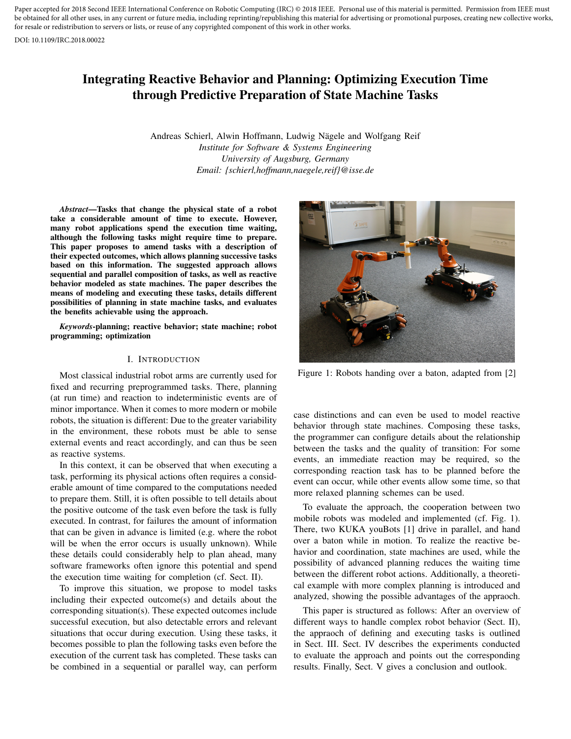Paper accepted for 2018 Second IEEE International Conference on Robotic Computing (IRC) @ 2018 IEEE. Personal use of this material is permitted. Permission from IEEE must be obtained for all other uses, in any current or future media, including reprinting/republishing this material for advertising or promotional purposes, creating new collective works, for resale or redistribution to servers or lists, or reuse of any copyrighted component of this work in other works.

DOI: 10.1109/IRC.2018.00022

# Integrating Reactive Behavior and Planning: Optimizing Execution Time through Predictive Preparation of State Machine Tasks

Andreas Schierl, Alwin Hoffmann, Ludwig Nägele and Wolfgang Reif *Institute for Software & Systems Engineering University of Augsburg, Germany Email: {schierl,hoffmann,naegele,reif}@isse.de*

*Abstract*—Tasks that change the physical state of a robot take a considerable amount of time to execute. However, many robot applications spend the execution time waiting, although the following tasks might require time to prepare. This paper proposes to amend tasks with a description of their expected outcomes, which allows planning successive tasks based on this information. The suggested approach allows sequential and parallel composition of tasks, as well as reactive behavior modeled as state machines. The paper describes the means of modeling and executing these tasks, details different possibilities of planning in state machine tasks, and evaluates the benefits achievable using the approach.

*Keywords*-planning; reactive behavior; state machine; robot programming; optimization

#### I. INTRODUCTION

Most classical industrial robot arms are currently used for fixed and recurring preprogrammed tasks. There, planning (at run time) and reaction to indeterministic events are of minor importance. When it comes to more modern or mobile robots, the situation is different: Due to the greater variability in the environment, these robots must be able to sense external events and react accordingly, and can thus be seen as reactive systems.

In this context, it can be observed that when executing a task, performing its physical actions often requires a considerable amount of time compared to the computations needed to prepare them. Still, it is often possible to tell details about the positive outcome of the task even before the task is fully executed. In contrast, for failures the amount of information that can be given in advance is limited (e.g. where the robot will be when the error occurs is usually unknown). While these details could considerably help to plan ahead, many software frameworks often ignore this potential and spend the execution time waiting for completion (cf. Sect. II).

To improve this situation, we propose to model tasks including their expected outcome(s) and details about the corresponding situation(s). These expected outcomes include successful execution, but also detectable errors and relevant situations that occur during execution. Using these tasks, it becomes possible to plan the following tasks even before the execution of the current task has completed. These tasks can be combined in a sequential or parallel way, can perform



Figure 1: Robots handing over a baton, adapted from [2]

case distinctions and can even be used to model reactive behavior through state machines. Composing these tasks, the programmer can configure details about the relationship between the tasks and the quality of transition: For some events, an immediate reaction may be required, so the corresponding reaction task has to be planned before the event can occur, while other events allow some time, so that more relaxed planning schemes can be used.

To evaluate the approach, the cooperation between two mobile robots was modeled and implemented (cf. Fig. 1). There, two KUKA youBots [1] drive in parallel, and hand over a baton while in motion. To realize the reactive behavior and coordination, state machines are used, while the possibility of advanced planning reduces the waiting time between the different robot actions. Additionally, a theoretical example with more complex planning is introduced and analyzed, showing the possible advantages of the appraoch.

This paper is structured as follows: After an overview of different ways to handle complex robot behavior (Sect. II), the appraoch of defining and executing tasks is outlined in Sect. III. Sect. IV describes the experiments conducted to evaluate the approach and points out the corresponding results. Finally, Sect. V gives a conclusion and outlook.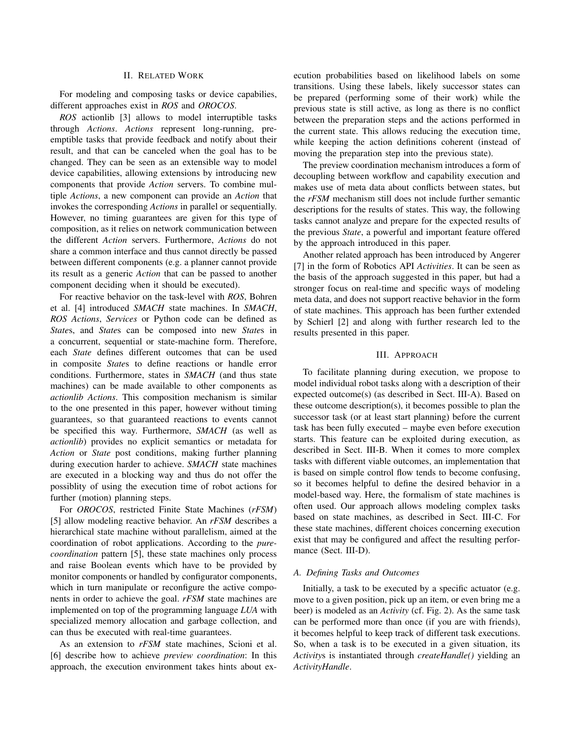## II. RELATED WORK

For modeling and composing tasks or device capabilies, different approaches exist in *ROS* and *OROCOS*.

*ROS* actionlib [3] allows to model interruptible tasks through *Actions*. *Actions* represent long-running, preemptible tasks that provide feedback and notify about their result, and that can be canceled when the goal has to be changed. They can be seen as an extensible way to model device capabilities, allowing extensions by introducing new components that provide *Action* servers. To combine multiple *Actions*, a new component can provide an *Action* that invokes the corresponding *Actions* in parallel or sequentially. However, no timing guarantees are given for this type of composition, as it relies on network communication between the different *Action* servers. Furthermore, *Actions* do not share a common interface and thus cannot directly be passed between different components (e.g. a planner cannot provide its result as a generic *Action* that can be passed to another component deciding when it should be executed).

For reactive behavior on the task-level with *ROS*, Bohren et al. [4] introduced *SMACH* state machines. In *SMACH*, *ROS Actions*, *Services* or Python code can be defined as *State*s, and *State*s can be composed into new *State*s in a concurrent, sequential or state-machine form. Therefore, each *State* defines different outcomes that can be used in composite *State*s to define reactions or handle error conditions. Furthermore, states in *SMACH* (and thus state machines) can be made available to other components as *actionlib Actions*. This composition mechanism is similar to the one presented in this paper, however without timing guarantees, so that guaranteed reactions to events cannot be specified this way. Furthermore, *SMACH* (as well as *actionlib*) provides no explicit semantics or metadata for *Action* or *State* post conditions, making further planning during execution harder to achieve. *SMACH* state machines are executed in a blocking way and thus do not offer the possiblity of using the execution time of robot actions for further (motion) planning steps.

For *OROCOS*, restricted Finite State Machines (*rFSM*) [5] allow modeling reactive behavior. An *rFSM* describes a hierarchical state machine without parallelism, aimed at the coordination of robot applications. According to the *purecoordination* pattern [5], these state machines only process and raise Boolean events which have to be provided by monitor components or handled by configurator components, which in turn manipulate or reconfigure the active components in order to achieve the goal. *rFSM* state machines are implemented on top of the programming language *LUA* with specialized memory allocation and garbage collection, and can thus be executed with real-time guarantees.

As an extension to *rFSM* state machines, Scioni et al. [6] describe how to achieve *preview coordination*: In this approach, the execution environment takes hints about execution probabilities based on likelihood labels on some transitions. Using these labels, likely successor states can be prepared (performing some of their work) while the previous state is still active, as long as there is no conflict between the preparation steps and the actions performed in the current state. This allows reducing the execution time, while keeping the action definitions coherent (instead of moving the preparation step into the previous state).

The preview coordination mechanism introduces a form of decoupling between workflow and capability execution and makes use of meta data about conflicts between states, but the *rFSM* mechanism still does not include further semantic descriptions for the results of states. This way, the following tasks cannot analyze and prepare for the expected results of the previous *State*, a powerful and important feature offered by the approach introduced in this paper.

Another related approach has been introduced by Angerer [7] in the form of Robotics API *Activities*. It can be seen as the basis of the approach suggested in this paper, but had a stronger focus on real-time and specific ways of modeling meta data, and does not support reactive behavior in the form of state machines. This approach has been further extended by Schierl [2] and along with further research led to the results presented in this paper.

### III. APPROACH

To facilitate planning during execution, we propose to model individual robot tasks along with a description of their expected outcome(s) (as described in Sect. III-A). Based on these outcome description(s), it becomes possible to plan the successor task (or at least start planning) before the current task has been fully executed – maybe even before execution starts. This feature can be exploited during execution, as described in Sect. III-B. When it comes to more complex tasks with different viable outcomes, an implementation that is based on simple control flow tends to become confusing, so it becomes helpful to define the desired behavior in a model-based way. Here, the formalism of state machines is often used. Our approach allows modeling complex tasks based on state machines, as described in Sect. III-C. For these state machines, different choices concerning execution exist that may be configured and affect the resulting performance (Sect. III-D).

## *A. Defining Tasks and Outcomes*

Initially, a task to be executed by a specific actuator (e.g. move to a given position, pick up an item, or even bring me a beer) is modeled as an *Activity* (cf. Fig. 2). As the same task can be performed more than once (if you are with friends), it becomes helpful to keep track of different task executions. So, when a task is to be executed in a given situation, its *Activity*s is instantiated through *createHandle()* yielding an *ActivityHandle*.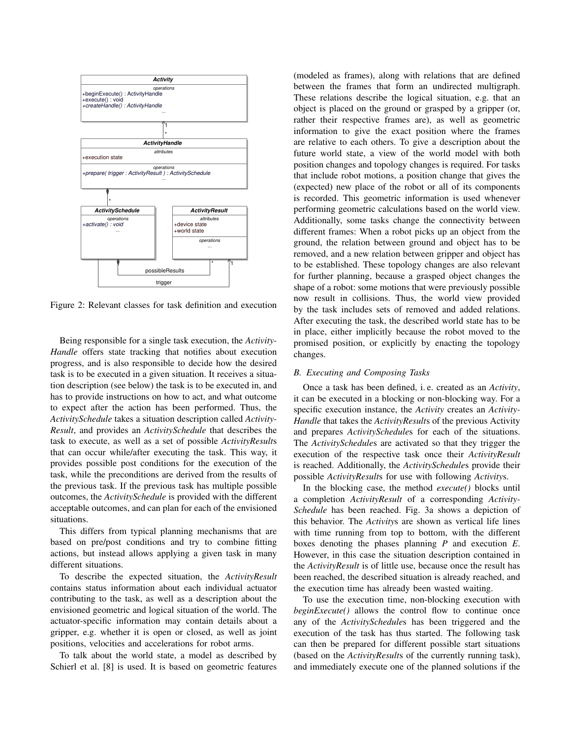

Figure 2: Relevant classes for task definition and execution

Being responsible for a single task execution, the *Activity-Handle* offers state tracking that notifies about execution progress, and is also responsible to decide how the desired task is to be executed in a given situation. It receives a situation description (see below) the task is to be executed in, and has to provide instructions on how to act, and what outcome to expect after the action has been performed. Thus, the *ActivitySchedule* takes a situation description called *Activity-Result*, and provides an *ActivitySchedule* that describes the task to execute, as well as a set of possible *ActivityResult*s that can occur while/after executing the task. This way, it provides possible post conditions for the execution of the task, while the preconditions are derived from the results of the previous task. If the previous task has multiple possible outcomes, the *ActivitySchedule* is provided with the different acceptable outcomes, and can plan for each of the envisioned situations.

This differs from typical planning mechanisms that are based on pre/post conditions and try to combine fitting actions, but instead allows applying a given task in many different situations.

To describe the expected situation, the *ActivityResult* contains status information about each individual actuator contributing to the task, as well as a description about the envisioned geometric and logical situation of the world. The actuator-specific information may contain details about a gripper, e.g. whether it is open or closed, as well as joint positions, velocities and accelerations for robot arms.

To talk about the world state, a model as described by Schierl et al. [8] is used. It is based on geometric features (modeled as frames), along with relations that are defined between the frames that form an undirected multigraph. These relations describe the logical situation, e.g. that an object is placed on the ground or grasped by a gripper (or, rather their respective frames are), as well as geometric information to give the exact position where the frames are relative to each others. To give a description about the future world state, a view of the world model with both position changes and topology changes is required. For tasks that include robot motions, a position change that gives the (expected) new place of the robot or all of its components is recorded. This geometric information is used whenever performing geometric calculations based on the world view. Additionally, some tasks change the connectivity between different frames: When a robot picks up an object from the ground, the relation between ground and object has to be removed, and a new relation between gripper and object has to be established. These topology changes are also relevant for further planning, because a grasped object changes the shape of a robot: some motions that were previously possible now result in collisions. Thus, the world view provided by the task includes sets of removed and added relations. After executing the task, the described world state has to be in place, either implicitly because the robot moved to the promised position, or explicitly by enacting the topology changes.

#### *B. Executing and Composing Tasks*

Once a task has been defined, i. e. created as an *Activity*, it can be executed in a blocking or non-blocking way. For a specific execution instance, the *Activity* creates an *Activity-Handle* that takes the *ActivityResult*s of the previous Activity and prepares *ActivitySchedule*s for each of the situations. The *ActivitySchedule*s are activated so that they trigger the execution of the respective task once their *ActivityResult* is reached. Additionally, the *ActivitySchedule*s provide their possible *ActivityResult*s for use with following *Activity*s.

In the blocking case, the method *execute()* blocks until a completion *ActivityResult* of a corresponding *Activity-Schedule* has been reached. Fig. 3a shows a depiction of this behavior. The *Activity*s are shown as vertical life lines with time running from top to bottom, with the different boxes denoting the phases planning *P* and execution *E*. However, in this case the situation description contained in the *ActivityResult* is of little use, because once the result has been reached, the described situation is already reached, and the execution time has already been wasted waiting.

To use the execution time, non-blocking execution with *beginExecute()* allows the control flow to continue once any of the *ActivitySchedule*s has been triggered and the execution of the task has thus started. The following task can then be prepared for different possible start situations (based on the *ActivityResult*s of the currently running task), and immediately execute one of the planned solutions if the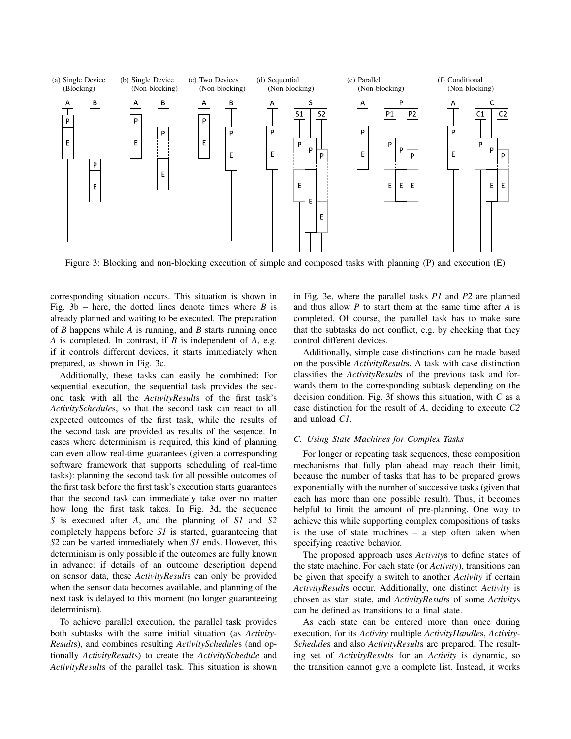

Figure 3: Blocking and non-blocking execution of simple and composed tasks with planning (P) and execution (E)

corresponding situation occurs. This situation is shown in Fig.  $3b$  – here, the dotted lines denote times where *B* is already planned and waiting to be executed. The preparation of *B* happens while *A* is running, and *B* starts running once *A* is completed. In contrast, if *B* is independent of *A*, e.g. if it controls different devices, it starts immediately when prepared, as shown in Fig. 3c.

Additionally, these tasks can easily be combined: For sequential execution, the sequential task provides the second task with all the *ActivityResult*s of the first task's *ActivitySchedule*s, so that the second task can react to all expected outcomes of the first task, while the results of the second task are provided as results of the seqence. In cases where determinism is required, this kind of planning can even allow real-time guarantees (given a corresponding software framework that supports scheduling of real-time tasks): planning the second task for all possible outcomes of the first task before the first task's execution starts guarantees that the second task can immediately take over no matter how long the first task takes. In Fig. 3d, the sequence *S* is executed after *A*, and the planning of *S1* and *S2* completely happens before *S1* is started, guaranteeing that *S2* can be started immediately when *S1* ends. However, this determinism is only possible if the outcomes are fully known in advance: if details of an outcome description depend on sensor data, these *ActivityResult*s can only be provided when the sensor data becomes available, and planning of the next task is delayed to this moment (no longer guaranteeing determinism).

To achieve parallel execution, the parallel task provides both subtasks with the same initial situation (as *Activity-Result*s), and combines resulting *ActivitySchedule*s (and optionally *ActivityResult*s) to create the *ActivitySchedule* and *ActivityResult*s of the parallel task. This situation is shown in Fig. 3e, where the parallel tasks *P1* and *P2* are planned and thus allow *P* to start them at the same time after *A* is completed. Of course, the parallel task has to make sure that the subtasks do not conflict, e.g. by checking that they control different devices.

Additionally, simple case distinctions can be made based on the possible *ActivityResult*s. A task with case distinction classifies the *ActivityResult*s of the previous task and forwards them to the corresponding subtask depending on the decision condition. Fig. 3f shows this situation, with *C* as a case distinction for the result of *A*, deciding to execute *C2* and unload *C1*.

## *C. Using State Machines for Complex Tasks*

For longer or repeating task sequences, these composition mechanisms that fully plan ahead may reach their limit, because the number of tasks that has to be prepared grows exponentially with the number of successive tasks (given that each has more than one possible result). Thus, it becomes helpful to limit the amount of pre-planning. One way to achieve this while supporting complex compositions of tasks is the use of state machines  $-$  a step often taken when specifying reactive behavior.

The proposed approach uses *Activity*s to define states of the state machine. For each state (or *Activity*), transitions can be given that specify a switch to another *Activity* if certain *ActivityResult*s occur. Additionally, one distinct *Activity* is chosen as start state, and *ActivityResult*s of some *Activity*s can be defined as transitions to a final state.

As each state can be entered more than once during execution, for its *Activity* multiple *ActivityHandle*s, *Activity-Schedule*s and also *ActivityResult*s are prepared. The resulting set of *ActivityResult*s for an *Activity* is dynamic, so the transition cannot give a complete list. Instead, it works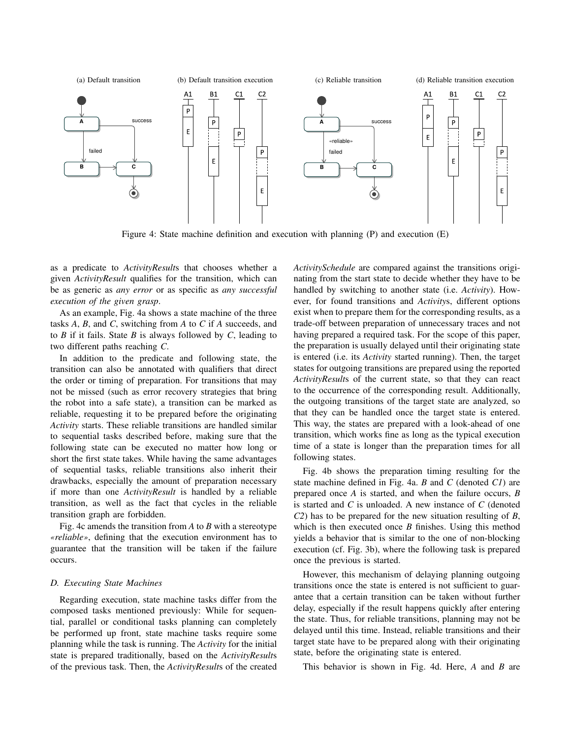

Figure 4: State machine definition and execution with planning (P) and execution (E)

as a predicate to *ActivityResult*s that chooses whether a given *ActivityResult* qualifies for the transition, which can be as generic as *any error* or as specific as *any successful execution of the given grasp*.

As an example, Fig. 4a shows a state machine of the three tasks *A*, *B*, and *C*, switching from *A* to *C* if *A* succeeds, and to *B* if it fails. State *B* is always followed by *C*, leading to two different paths reaching *C*.

In addition to the predicate and following state, the transition can also be annotated with qualifiers that direct the order or timing of preparation. For transitions that may not be missed (such as error recovery strategies that bring the robot into a safe state), a transition can be marked as reliable, requesting it to be prepared before the originating *Activity* starts. These reliable transitions are handled similar to sequential tasks described before, making sure that the following state can be executed no matter how long or short the first state takes. While having the same advantages of sequential tasks, reliable transitions also inherit their drawbacks, especially the amount of preparation necessary if more than one *ActivityResult* is handled by a reliable transition, as well as the fact that cycles in the reliable transition graph are forbidden.

Fig. 4c amends the transition from *A* to *B* with a stereotype *«reliable»*, defining that the execution environment has to guarantee that the transition will be taken if the failure occurs.

## *D. Executing State Machines*

Regarding execution, state machine tasks differ from the composed tasks mentioned previously: While for sequential, parallel or conditional tasks planning can completely be performed up front, state machine tasks require some planning while the task is running. The *Activity* for the initial state is prepared traditionally, based on the *ActivityResult*s of the previous task. Then, the *ActivityResult*s of the created *ActivitySchedule* are compared against the transitions originating from the start state to decide whether they have to be handled by switching to another state (i.e. *Activity*). However, for found transitions and *Activity*s, different options exist when to prepare them for the corresponding results, as a trade-off between preparation of unnecessary traces and not having prepared a required task. For the scope of this paper, the preparation is usually delayed until their originating state is entered (i.e. its *Activity* started running). Then, the target states for outgoing transitions are prepared using the reported *ActivityResult*s of the current state, so that they can react to the occurrence of the corresponding result. Additionally, the outgoing transitions of the target state are analyzed, so that they can be handled once the target state is entered. This way, the states are prepared with a look-ahead of one transition, which works fine as long as the typical execution time of a state is longer than the preparation times for all following states.

Fig. 4b shows the preparation timing resulting for the state machine defined in Fig. 4a. *B* and *C* (denoted *C1*) are prepared once *A* is started, and when the failure occurs, *B* is started and *C* is unloaded. A new instance of *C* (denoted *C2*) has to be prepared for the new situation resulting of *B*, which is then executed once *B* finishes. Using this method yields a behavior that is similar to the one of non-blocking execution (cf. Fig. 3b), where the following task is prepared once the previous is started.

However, this mechanism of delaying planning outgoing transitions once the state is entered is not sufficient to guarantee that a certain transition can be taken without further delay, especially if the result happens quickly after entering the state. Thus, for reliable transitions, planning may not be delayed until this time. Instead, reliable transitions and their target state have to be prepared along with their originating state, before the originating state is entered.

This behavior is shown in Fig. 4d. Here, *A* and *B* are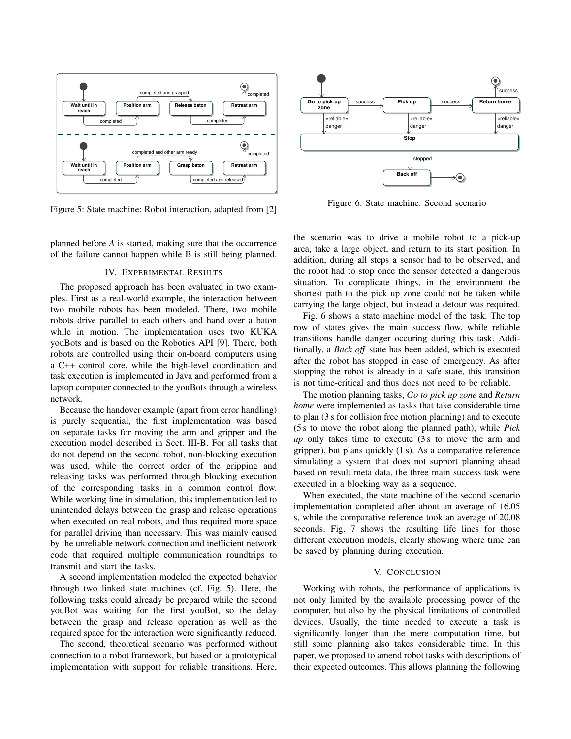

Figure 5: State machine: Robot interaction, adapted from [2]

planned before *A* is started, making sure that the occurrence of the failure cannot happen while B is still being planned.

## IV. EXPERIMENTAL RESULTS

The proposed approach has been evaluated in two examples. First as a real-world example, the interaction between two mobile robots has been modeled. There, two mobile robots drive parallel to each others and hand over a baton while in motion. The implementation uses two KUKA youBots and is based on the Robotics API [9]. There, both robots are controlled using their on-board computers using a C++ control core, while the high-level coordination and task execution is implemented in Java and performed from a laptop computer connected to the youBots through a wireless network.

Because the handover example (apart from error handling) is purely sequential, the first implementation was based on separate tasks for moving the arm and gripper and the execution model described in Sect. III-B. For all tasks that do not depend on the second robot, non-blocking execution was used, while the correct order of the gripping and releasing tasks was performed through blocking execution of the corresponding tasks in a common control flow. While working fine in simulation, this implementation led to unintended delays between the grasp and release operations when executed on real robots, and thus required more space for parallel driving than necessary. This was mainly caused by the unreliable network connection and inefficient network code that required multiple communication roundtrips to transmit and start the tasks.

A second implementation modeled the expected behavior through two linked state machines (cf. Fig. 5). Here, the following tasks could already be prepared while the second youBot was waiting for the first youBot, so the delay between the grasp and release operation as well as the required space for the interaction were significantly reduced.

The second, theoretical scenario was performed without connection to a robot framework, but based on a prototypical implementation with support for reliable transitions. Here,



Figure 6: State machine: Second scenario

the scenario was to drive a mobile robot to a pick-up area, take a large object, and return to its start position. In addition, during all steps a sensor had to be observed, and the robot had to stop once the sensor detected a dangerous situation. To complicate things, in the environment the shortest path to the pick up zone could not be taken while carrying the large object, but instead a detour was required.

Fig. 6 shows a state machine model of the task. The top row of states gives the main success flow, while reliable transitions handle danger occuring during this task. Additionally, a *Back off* state has been added, which is executed after the robot has stopped in case of emergency. As after stopping the robot is already in a safe state, this transition is not time-critical and thus does not need to be reliable.

The motion planning tasks, *Go to pick up zone* and *Return home* were implemented as tasks that take considerable time to plan (3 s for collision free motion planning) and to execute (5 s to move the robot along the planned path), while *Pick up* only takes time to execute (3s to move the arm and gripper), but plans quickly (1 s). As a comparative reference simulating a system that does not support planning ahead based on result meta data, the three main success task were executed in a blocking way as a sequence.

When executed, the state machine of the second scenario implementation completed after about an average of 16.05 s, while the comparative reference took an average of 20.08 seconds. Fig. 7 shows the resulting life lines for those different execution models, clearly showing where time can be saved by planning during execution.

## V. CONCLUSION

Working with robots, the performance of applications is not only limited by the available processing power of the computer, but also by the physical limitations of controlled devices. Usually, the time needed to execute a task is significantly longer than the mere computation time, but still some planning also takes considerable time. In this paper, we proposed to amend robot tasks with descriptions of their expected outcomes. This allows planning the following